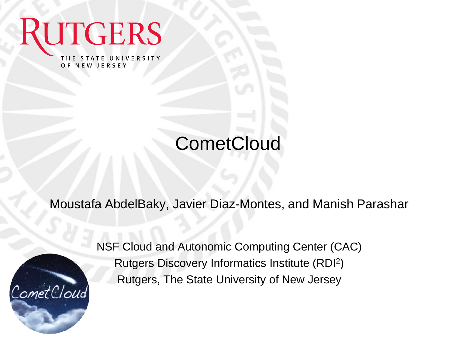THE STATE UNIVERSITY OF NEW JERSEY

**UTGERS** 

#### **CometCloud**

Moustafa AbdelBaky, Javier Diaz-Montes, and Manish Parashar



NSF Cloud and Autonomic Computing Center (CAC) Rutgers Discovery Informatics Institute (RDI<sup>2</sup> ) Rutgers, The State University of New Jersey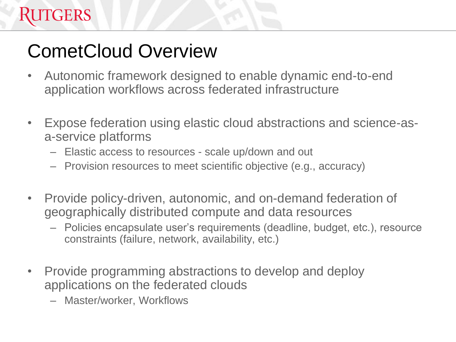### CometCloud Overview

- Autonomic framework designed to enable dynamic end-to-end application workflows across federated infrastructure
- Expose federation using elastic cloud abstractions and science-asa-service platforms
	- Elastic access to resources scale up/down and out
	- Provision resources to meet scientific objective (e.g., accuracy)
- Provide policy-driven, autonomic, and on-demand federation of geographically distributed compute and data resources
	- Policies encapsulate user's requirements (deadline, budget, etc.), resource constraints (failure, network, availability, etc.)
- Provide programming abstractions to develop and deploy applications on the federated clouds
	- Master/worker, Workflows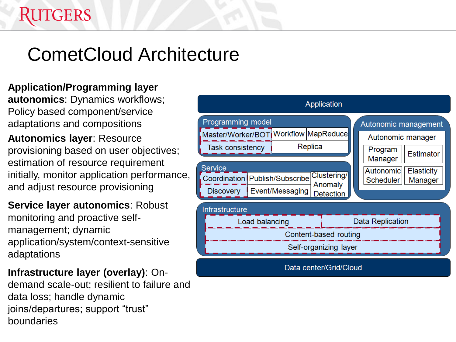#### CometCloud Architecture

#### **Application/Programming layer**

**autonomics**: Dynamics workflows; Policy based component/service adaptations and compositions

**Autonomics layer**: Resource provisioning based on user objectives; estimation of resource requirement initially, monitor application performance, and adjust resource provisioning

**Service layer autonomics**: Robust monitoring and proactive selfmanagement; dynamic application/system/context-sensitive adaptations

**Infrastructure layer (overlay)**: Ondemand scale-out; resilient to failure and data loss; handle dynamic joins/departures; support "trust" boundaries

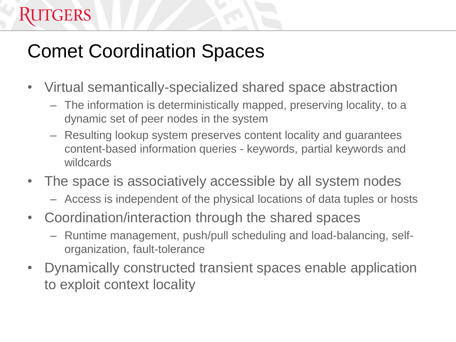### Comet Coordination Spaces

**TGERS** 

- Virtual semantically-specialized shared space abstraction
	- The information is deterministically mapped, preserving locality, to a dynamic set of peer nodes in the system
	- Resulting lookup system preserves content locality and guarantees content-based information queries - keywords, partial keywords and wildcards
- The space is associatively accessible by all system nodes
	- Access is independent of the physical locations of data tuples or hosts
- Coordination/interaction through the shared spaces
	- Runtime management, push/pull scheduling and load-balancing, selforganization, fault-tolerance
- Dynamically constructed transient spaces enable application to exploit context locality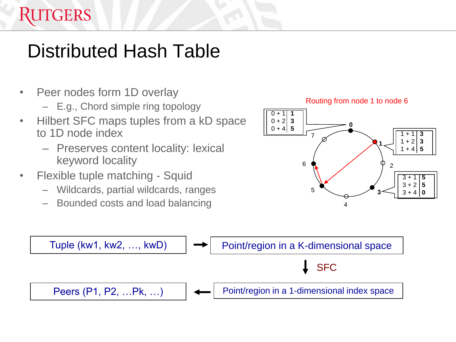#### Distributed Hash Table

- Peer nodes form 1D overlay
	- E.g., Chord simple ring topology
- Hilbert SFC maps tuples from a kD space to 1D node index
	- Preserves content locality: lexical keyword locality
- Flexible tuple matching Squid
	- Wildcards, partial wildcards, ranges
	- Bounded costs and load balancing





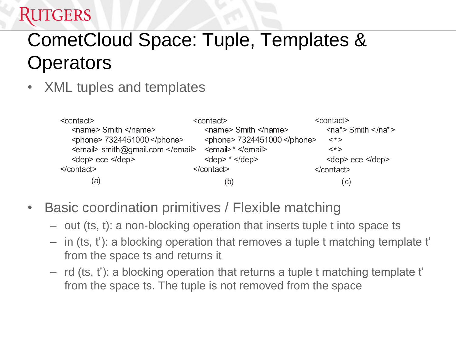### CometCloud Space: Tuple, Templates & **Operators**

• XML tuples and templates

| <contact></contact>              | <contact></contact>             | <contact></contact>                                     |
|----------------------------------|---------------------------------|---------------------------------------------------------|
| <name> Smith </name>             | $\leq$ name> Smith $\leq$ name> | $\alpha$ <na*> Smith <math>\alpha</math> /na*&gt;</na*> |
| <phone> 7324451000 </phone>      | <phone> 7324451000 </phone>     | $\lt$ *>                                                |
| <email> smith@gmail.com </email> | $\le$ email>* $\le$ /email>     | $\lt^*$                                                 |
| <dep> ece </dep>                 | $\text{~dep}$ $\text{*~dep}$    | <dep> ece </dep>                                        |
| $\le$ /contact>                  | $<$ /contact>                   | $<$ /contact>                                           |
| (a                               | (b                              | (C)                                                     |

- Basic coordination primitives / Flexible matching
	- out (ts, t): a non-blocking operation that inserts tuple t into space ts
	- in (ts, t'): a blocking operation that removes a tuple t matching template t' from the space ts and returns it
	- rd (ts, t'): a blocking operation that returns a tuple t matching template t' from the space ts. The tuple is not removed from the space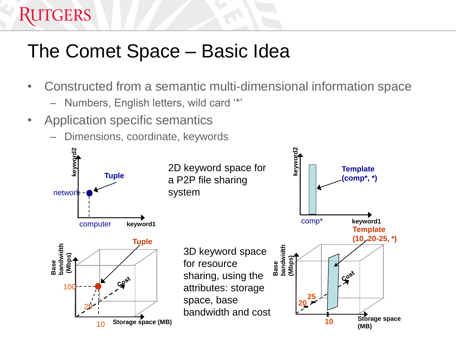#### The Comet Space – Basic Idea

- Constructed from a semantic multi-dimensional information space
	- Numbers, English letters, wild card '\*'
- Application specific semantics

**RUTGERS** 

– Dimensions, coordinate, keywords

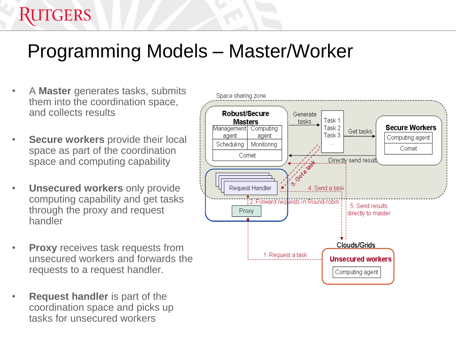### Programming Models – Master/Worker

• A **Master** generates tasks, submits them into the coordination space, and collects results

- **Secure workers** provide their local space as part of the coordination space and computing capability
- **Unsecured workers** only provide computing capability and get tasks through the proxy and request handler
- **Proxy** receives task requests from unsecured workers and forwards the requests to a request handler.
- **Request handler** is part of the coordination space and picks up tasks for unsecured workers

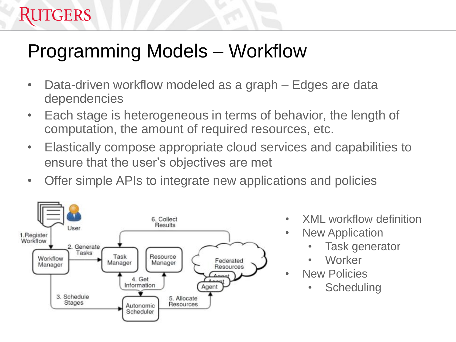#### Programming Models – Workflow

- Data-driven workflow modeled as a graph Edges are data dependencies
- Each stage is heterogeneous in terms of behavior, the length of computation, the amount of required resources, etc.
- Elastically compose appropriate cloud services and capabilities to ensure that the user's objectives are met
- Offer simple APIs to integrate new applications and policies



- XML workflow definition
- New Application
	- Task generator
	- Worker
- **New Policies** 
	- **Scheduling**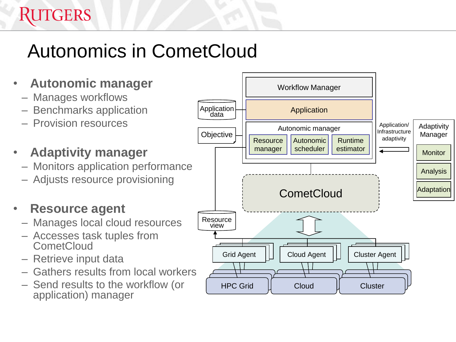## Autonomics in CometCloud

- **Autonomic manager**
	- Manages workflows
	- Benchmarks application
	- Provision resources
	- **Adaptivity manager**
		- Monitors application performance
		- Adjusts resource provisioning

#### • **Resource agent**

- Manages local cloud resources
- Accesses task tuples from **CometCloud**
- Retrieve input data
- Gathers results from local workers
- Send results to the workflow (or application) manager

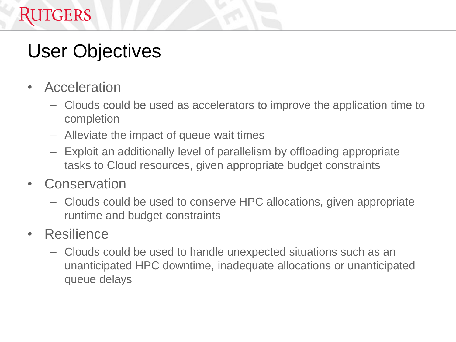### User Objectives

• Acceleration

- Clouds could be used as accelerators to improve the application time to completion
- Alleviate the impact of queue wait times
- Exploit an additionally level of parallelism by offloading appropriate tasks to Cloud resources, given appropriate budget constraints
- **Conservation** 
	- Clouds could be used to conserve HPC allocations, given appropriate runtime and budget constraints
- Resilience
	- Clouds could be used to handle unexpected situations such as an unanticipated HPC downtime, inadequate allocations or unanticipated queue delays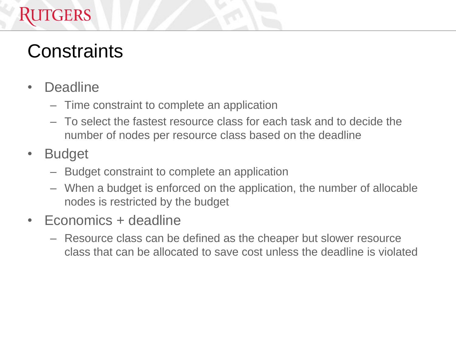#### **TGERS**

### **Constraints**

- Deadline
	- Time constraint to complete an application
	- To select the fastest resource class for each task and to decide the number of nodes per resource class based on the deadline
- Budget
	- Budget constraint to complete an application
	- When a budget is enforced on the application, the number of allocable nodes is restricted by the budget
- Economics + deadline
	- Resource class can be defined as the cheaper but slower resource class that can be allocated to save cost unless the deadline is violated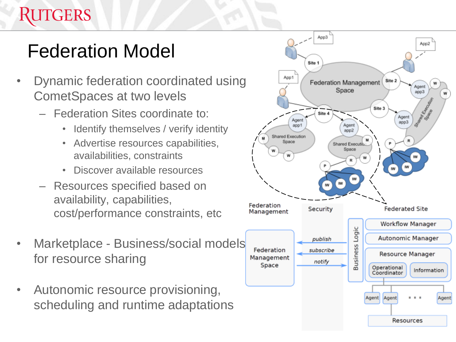### Federation Model

- Dynamic federation coordinated using CometSpaces at two levels
	- Federation Sites coordinate to:
		- Identify themselves / verify identity
		- Advertise resources capabilities, availabilities, constraints
		- Discover available resources
	- Resources specified based on availability, capabilities, cost/performance constraints, etc
- Marketplace Business/social models for resource sharing
- Autonomic resource provisioning, scheduling and runtime adaptations

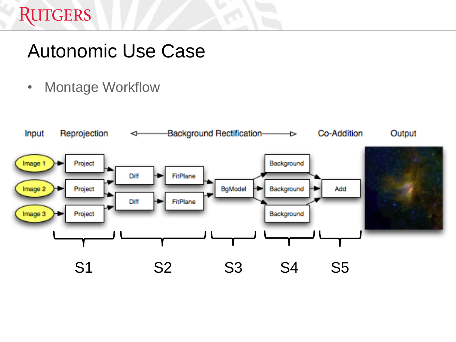### Autonomic Use Case

• Montage Workflow

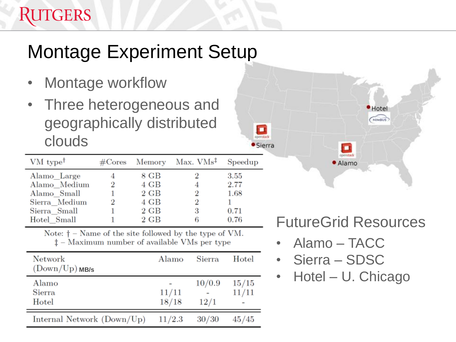## Montage Experiment Setup

- Montage workflow
- Three heterogeneous and geographically distributed clouds

| $VM$ type <sup>†</sup> |          |                | $\#\text{Cores}\quad \text{Memory}\quad \text{Max. VMs}^{\ddagger}$ | Speedup |
|------------------------|----------|----------------|---------------------------------------------------------------------|---------|
| Alamo Large            |          | 8 GB           | 2                                                                   | 3.55    |
| Alamo_Medium           | $\bf{2}$ | 4 GB           | 4                                                                   | 2.77    |
| Alamo Small            |          | 2 GB           | 2                                                                   | 1.68    |
| Sierra Medium          | 2        | 4 GB           | 2                                                                   |         |
| Sierra Small           |          | $2 \text{ GB}$ | 3                                                                   | 0.71    |
| Hotel Small            |          | 2 GB           | 6                                                                   | 0.76    |

Note:  $\dagger$  – Name of the site followed by the type of VM.  $\ddagger$  – Maximum number of available VMs per type

| Network<br>$(Down/Up)$ MB/s | Alamo          | Sierra         | Hotel          |
|-----------------------------|----------------|----------------|----------------|
| Alamo<br>Sierra<br>Hotel    | 11/11<br>18/18 | 10/0.9<br>12/1 | 15/15<br>11/11 |
| Internal Network (Down/Up)  | 11/2.3         | 30/30          | 45/45          |

#### FutureGrid Resources

penstack · Alamo Hotel NIMBUS

• Alamo – TACC

о penstack · Sierra

- Sierra SDSC
- Hotel U. Chicago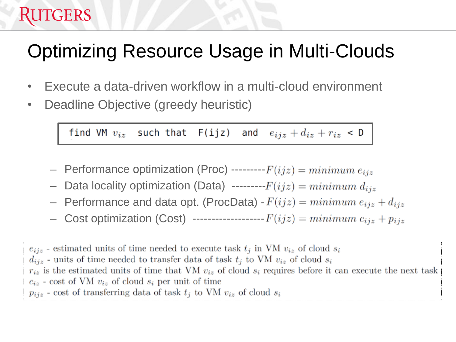### Optimizing Resource Usage in Multi-Clouds

- Execute a data-driven workflow in a multi-cloud environment
- Deadline Objective (greedy heuristic)

**RUTGERS** 

find VM  $v_{iz}$  such that F(ijz) and  $e_{ijz} + d_{iz} + r_{iz} < D$ 

- Performance optimization (Proc) --------- $F(ijz) = minimum e_{ijz}$
- Data locality optimization (Data) --------- $F(ijz) = minimum d_{iiz}$
- Performance and data opt. (ProcData)  $-F(ijz) = minimum e_{ijz} + d_{ijz}$
- Cost optimization (Cost) -------------------- $F(ijz) = minimum c_{ijz} + p_{ijz}$

 $e_{ijz}$  - estimated units of time needed to execute task  $t_i$  in VM  $v_{iz}$  of cloud  $s_i$  $d_{ijz}$  - units of time needed to transfer data of task  $t_i$  to VM  $v_{iz}$  of cloud  $s_i$  $r_{iz}$  is the estimated units of time that VM  $v_{iz}$  of cloud  $s_i$  requires before it can execute the next task  $c_{iz}$  - cost of VM  $v_{iz}$  of cloud  $s_i$  per unit of time  $p_{ijz}$  - cost of transferring data of task  $t_j$  to VM  $v_{iz}$  of cloud  $s_i$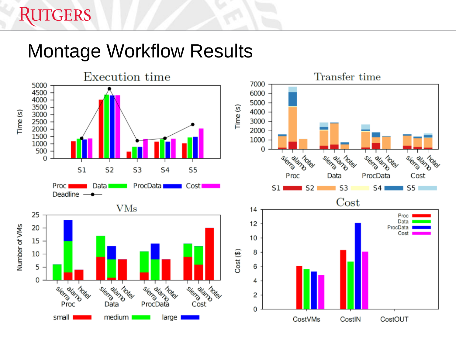#### Montage Workflow Results

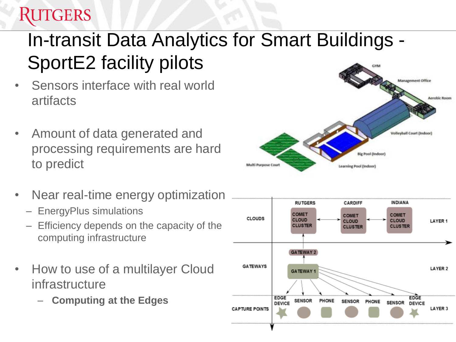### In-transit Data Analytics for Smart Buildings - SportE2 facility pilots

- Sensors interface with real world artifacts
- Amount of data generated and processing requirements are hard to predict
- Near real-time energy optimization
	- EnergyPlus simulations
	- Efficiency depends on the capacity of the computing infrastructure
- How to use of a multilayer Cloud infrastructure
	- **Computing at the Edges**



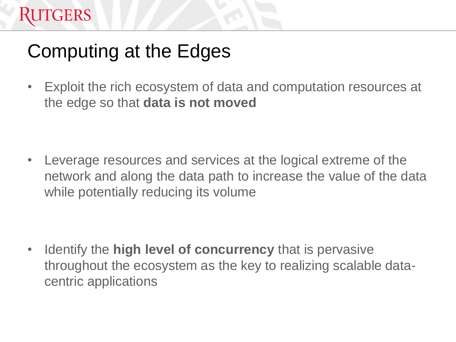### Computing at the Edges

• Exploit the rich ecosystem of data and computation resources at the edge so that **data is not moved**

• Leverage resources and services at the logical extreme of the network and along the data path to increase the value of the data while potentially reducing its volume

• Identify the **high level of concurrency** that is pervasive throughout the ecosystem as the key to realizing scalable datacentric applications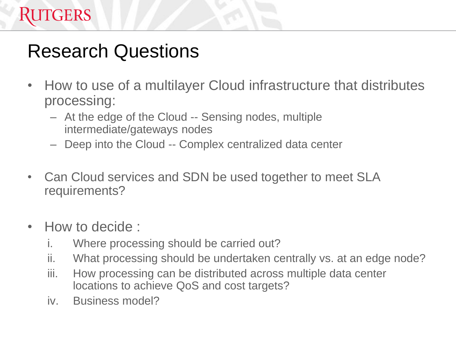#### Research Questions

- How to use of a multilayer Cloud infrastructure that distributes processing:
	- At the edge of the Cloud -- Sensing nodes, multiple intermediate/gateways nodes
	- Deep into the Cloud -- Complex centralized data center
- Can Cloud services and SDN be used together to meet SLA requirements?
- How to decide :
	- i. Where processing should be carried out?
	- ii. What processing should be undertaken centrally vs. at an edge node?
	- iii. How processing can be distributed across multiple data center locations to achieve QoS and cost targets?
	- iv. Business model?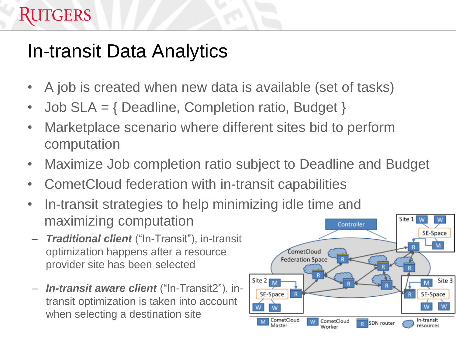### In-transit Data Analytics

- A job is created when new data is available (set of tasks)
- Job SLA = { Deadline, Completion ratio, Budget }
- Marketplace scenario where different sites bid to perform computation
- Maximize Job completion ratio subject to Deadline and Budget
- CometCloud federation with in-transit capabilities
- In-transit strategies to help minimizing idle time and maximizing computation
- *Traditional client* ("In-Transit"), in-transit optimization happens after a resource provider site has been selected
- *In-transit aware client* ("In-Transit2"), intransit optimization is taken into account when selecting a destination site

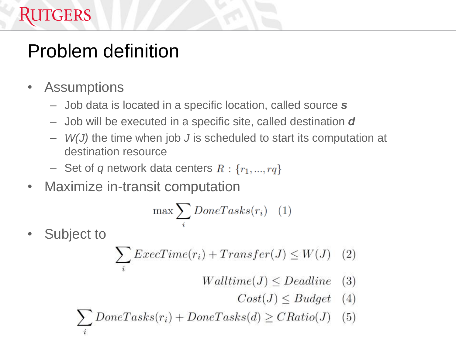# Problem definition

• Assumptions

RUTGERS

- Job data is located in a specific location, called source *s*
- Job will be executed in a specific site, called destination *d*
- *W(J)* the time when job *J* is scheduled to start its computation at destination resource
- $-$  Set of *q* network data centers  $R: \{r_1, ..., r_q\}$
- Maximize in-transit computation

$$
\max \sum_{i} DoneTasks(r_i) \quad (1)
$$

Subject to

$$
\sum_{i}ExecTime(r_{i}) + Transfer(J) \le W(J) \quad (2)
$$

- $Walltime(J) \leq Deadline$  $(3)$ 
	- $Cost(J) \leq Budget$  (4)

$$
\sum_{i} DoneTasks(r_i) + DoneTasks(d) \geq CRatio(J) \quad (5)
$$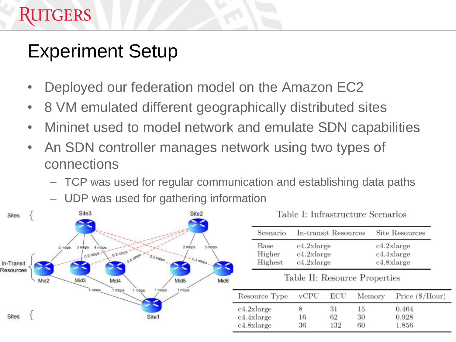# Experiment Setup

**RUTGERS** 

- Deployed our federation model on the Amazon EC2
- 8 VM emulated different geographically distributed sites
- Mininet used to model network and emulate SDN capabilities
- An SDN controller manages network using two types of connections
	- TCP was used for regular communication and establishing data paths
	- UDP was used for gathering information



| Scenario | In-transit Resources | <b>Site Resources</b> |
|----------|----------------------|-----------------------|
| Base     | $c4.2x$ large        | c4.2xlarge            |
| Higher   | $c4.2x$ large        | c4.4xlarge            |
| Highest  | c4.2xlarge           | c4.8xlarge            |

Table II: Resource Properties

| Resource Type                          | vCPU     | $_{\rm ECU}$    | Memory         | Price $(\$/Hour)$       |
|----------------------------------------|----------|-----------------|----------------|-------------------------|
| c4.2xlarge<br>c4.4xlarge<br>c4.8xlarge | 16<br>36 | 31<br>62<br>132 | 15<br>30<br>60 | 0.464<br>0.928<br>1.856 |